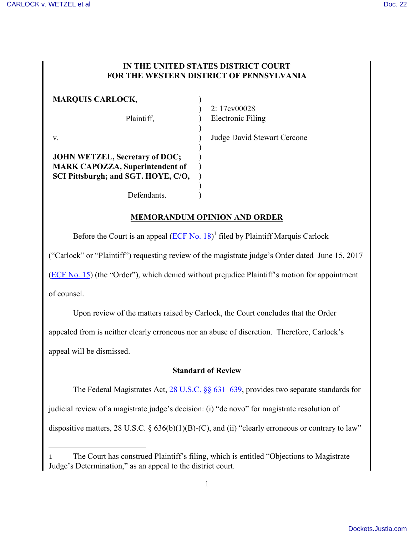#### **IN THE UNITED STATES DISTRICT COURT FOR THE WESTERN DISTRICT OF PENNSYLVANIA**

| <b>MARQUIS CARLOCK,</b>                |     |
|----------------------------------------|-----|
|                                        |     |
| Plaintiff,                             | Ele |
|                                        |     |
| V.                                     | Juc |
|                                        |     |
| <b>JOHN WETZEL, Secretary of DOC;</b>  |     |
| <b>MARK CAPOZZA, Superintendent of</b> |     |
| SCI Pittsburgh; and SGT. HOYE, C/O,    |     |
|                                        |     |
| Defendants.                            |     |

2: 17cv00028 ectronic Filing

lge David Stewart Cercone

## **MEMORANDUM OPINION AND ORDER**

Before the Court is an appeal  $(ECF No. 18)^1$  $(ECF No. 18)^1$  filed by Plaintiff Marquis Carlock

("Carlock" or "Plaintiff") requesting review of the magistrate judge's Order dated June 15, 2017

[\(ECF No. 15](https://ecf.pawd.uscourts.gov/doc1/15715744280)) (the "Order"), which denied without prejudice Plaintiff's motion for appointment

of counsel.

i<br>L

Upon review of the matters raised by Carlock, the Court concludes that the Order

appealed from is neither clearly erroneous nor an abuse of discretion. Therefore, Carlock's

appeal will be dismissed.

### **Standard of Review**

The Federal Magistrates Act, [28 U.S.C. §§](http://www.westlaw.com/Find/default.wl?rs=kmfn4.8&vr=2.0&kmvr=2.6&FindType=L&DB=1000546&DocName=28USCAS631&kmsource=da3.0) 631–[639,](http://www.westlaw.com/Find/default.wl?rs=kmfn4.8&vr=2.0&kmvr=2.6&FindType=L&DB=1000546&DocName=28USCAS639&kmsource=da3.0) provides two separate standards for

judicial review of a magistrate judge's decision: (i) "de novo" for magistrate resolution of

dispositive matters, 28 U.S.C.  $\S$  636(b)(1)(B)-(C), and (ii) "clearly erroneous or contrary to law"

<sup>1</sup> The Court has construed Plaintiff's filing, which is entitled "Objections to Magistrate Judge's Determination," as an appeal to the district court.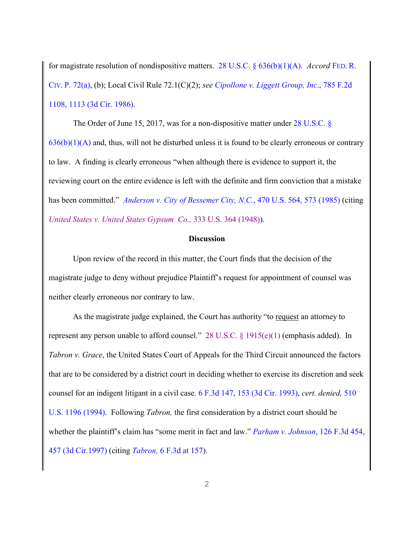for magistrate resolution of nondispositive matters. [28 U.S.C. § 636\(b\)\(1\)\(A\).](http://www.westlaw.com/Find/default.wl?rs=kmfn4.8&vr=2.0&kmvr=2.6&FindType=L&DB=1000546&DocName=28USCAS636&kmsource=da3.0) *Accord* FED. [R.](http://www.westlaw.com/Find/default.wl?rs=kmfn4.8&vr=2.0&kmvr=2.6&FindType=L&DB=1000600&DocName=USFRCPR72&kmsource=da3.0) CIV. [P. 72\(a\),](http://www.westlaw.com/Find/default.wl?rs=kmfn4.8&vr=2.0&kmvr=2.6&FindType=L&DB=1000600&DocName=USFRCPR72&kmsource=da3.0) (b); Local Civil Rule 72.1(C)(2); *see [Cipollone v. Liggett Group, Inc](http://www.westlaw.com/Find/default.wl?rs=kmfn4.8&vr=2.0&kmvr=2.6&FindType=Y&DB=0000350&serialnum=1986112888&kmsource=da3.0)*., 785 F.2d [1108, 1113 \(3d Cir. 1986\).](http://www.westlaw.com/Find/default.wl?rs=kmfn4.8&vr=2.0&kmvr=2.6&FindType=Y&DB=0000350&serialnum=1986112888&kmsource=da3.0)

The Order of June 15, 2017, was for a non-dispositive matter under [28 U.S.C. §](http://www.westlaw.com/Find/default.wl?rs=kmfn4.8&vr=2.0&kmvr=2.6&FindType=L&DB=1000546&DocName=28USCAS636&kmsource=da3.0)   $636(b)(1)(A)$  and, thus, will not be disturbed unless it is found to be clearly erroneous or contrary to law. A finding is clearly erroneous "when although there is evidence to support it, the reviewing court on the entire evidence is left with the definite and firm conviction that a mistake has been committed." *[Anderson v. City of Bessemer City, N.C.](http://www.westlaw.com/Find/default.wl?rs=kmfn4.8&vr=2.0&kmvr=2.6&FindType=Y&DB=0000780&serialnum=1985114055&kmsource=da3.0)*, 470 U.S. 564, 573 (1985) (citing *[United States v. United States Gypsum Co.,](http://www.westlaw.com/Find/default.wl?rs=kmfn4.8&vr=2.0&kmvr=2.6&FindType=Y&DB=0000780&serialnum=1948119024&kmsource=da3.0)* 333 U.S. 364 (1948)).

#### **Discussion**

Upon review of the record in this matter, the Court finds that the decision of the magistrate judge to deny without prejudice Plaintiff's request for appointment of counsel was neither clearly erroneous nor contrary to law.

As the magistrate judge explained, the Court has authority "to request an attorney to represent any person unable to afford counsel." [28 U.S.C. § 1915\(e\)\(1\)](http://www.westlaw.com/Find/default.wl?rs=kmfn4.8&vr=2.0&kmvr=2.6&FindType=L&DB=1000546&DocName=28USCAS1915&kmsource=da3.0) (emphasis added). In *Tabron v. Grace*, the United States Court of Appeals for the Third Circuit announced the factors that are to be considered by a district court in deciding whether to exercise its discretion and seek counsel for an indigent litigant in a civil case. [6 F.3d 147, 153 \(3d Cir. 1993\),](http://www.westlaw.com/Find/default.wl?rs=kmfn4.8&vr=2.0&kmvr=2.6&FindType=Y&DB=0000506&serialnum=1993191107&kmsource=da3.0) *cert. denied,* [510](http://www.westlaw.com/Find/default.wl?rs=kmfn4.8&vr=2.0&kmvr=2.6&FindType=Y&DB=0000780&serialnum=1994040843&kmsource=da3.0)  [U.S. 1196 \(1994\).](http://www.westlaw.com/Find/default.wl?rs=kmfn4.8&vr=2.0&kmvr=2.6&FindType=Y&DB=0000780&serialnum=1994040843&kmsource=da3.0) Following *Tabron,* the first consideration by a district court should be whether the plaintiff's claim has "some merit in fact and law." *[Parham v. Johnson](http://www.westlaw.com/Find/default.wl?rs=kmfn4.8&vr=2.0&kmvr=2.6&FindType=Y&DB=0000506&serialnum=1997191000&kmsource=da3.0)*, 126 F.3d 454, [457 \(3d Cir.1997\)](http://www.westlaw.com/Find/default.wl?rs=kmfn4.8&vr=2.0&kmvr=2.6&FindType=Y&DB=0000506&serialnum=1997191000&kmsource=da3.0) (citing *Tabron,* [6 F.3d at 157\)](http://www.westlaw.com/Find/default.wl?rs=kmfn4.8&vr=2.0&kmvr=2.6&FindType=Y&DB=0000506&serialnum=1993191107&kmsource=da3.0).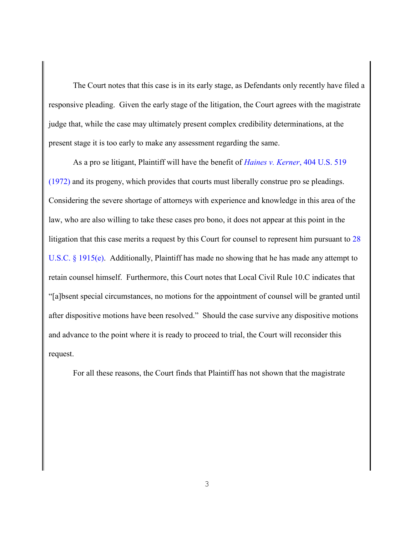The Court notes that this case is in its early stage, as Defendants only recently have filed a responsive pleading. Given the early stage of the litigation, the Court agrees with the magistrate judge that, while the case may ultimately present complex credibility determinations, at the present stage it is too early to make any assessment regarding the same.

As a pro se litigant, Plaintiff will have the benefit of *[Haines v. Kerner](http://www.westlaw.com/Find/default.wl?rs=kmfn4.8&vr=2.0&kmvr=2.6&FindType=Y&DB=0000780&serialnum=1972127052&kmsource=da3.0)*, 404 U.S. 519 [\(1972\)](http://www.westlaw.com/Find/default.wl?rs=kmfn4.8&vr=2.0&kmvr=2.6&FindType=Y&DB=0000780&serialnum=1972127052&kmsource=da3.0) and its progeny, which provides that courts must liberally construe pro se pleadings. Considering the severe shortage of attorneys with experience and knowledge in this area of the law, who are also willing to take these cases pro bono, it does not appear at this point in the litigation that this case merits a request by this Court for counsel to represent him pursuant to [28](http://www.westlaw.com/Find/default.wl?rs=kmfn4.8&vr=2.0&kmvr=2.6&FindType=L&DB=1000546&DocName=28USCAS1915&kmsource=da3.0)  [U.S.C. § 1915\(e\).](http://www.westlaw.com/Find/default.wl?rs=kmfn4.8&vr=2.0&kmvr=2.6&FindType=L&DB=1000546&DocName=28USCAS1915&kmsource=da3.0) Additionally, Plaintiff has made no showing that he has made any attempt to retain counsel himself. Furthermore, this Court notes that Local Civil Rule 10.C indicates that "[a]bsent special circumstances, no motions for the appointment of counsel will be granted until after dispositive motions have been resolved." Should the case survive any dispositive motions and advance to the point where it is ready to proceed to trial, the Court will reconsider this request.

For all these reasons, the Court finds that Plaintiff has not shown that the magistrate